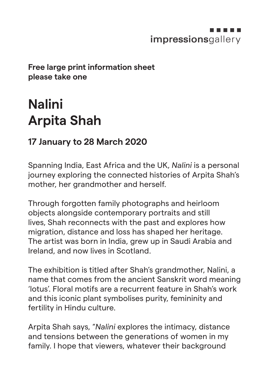## impressionsgallery

## **Free large print information sheet please take one**

## **Nalini Arpita Shah**

## **17 January to 28 March 2020**

Spanning India, East Africa and the UK, *Nalini* is a personal journey exploring the connected histories of Arpita Shah's mother, her grandmother and herself.

Through forgotten family photographs and heirloom objects alongside contemporary portraits and still lives, Shah reconnects with the past and explores how migration, distance and loss has shaped her heritage. The artist was born in India, grew up in Saudi Arabia and Ireland, and now lives in Scotland.

The exhibition is titled after Shah's grandmother, Nalini, a name that comes from the ancient Sanskrit word meaning 'lotus'. Floral motifs are a recurrent feature in Shah's work and this iconic plant symbolises purity, femininity and fertility in Hindu culture.

Arpita Shah says, "*Nalini* explores the intimacy, distance and tensions between the generations of women in my family. I hope that viewers, whatever their background